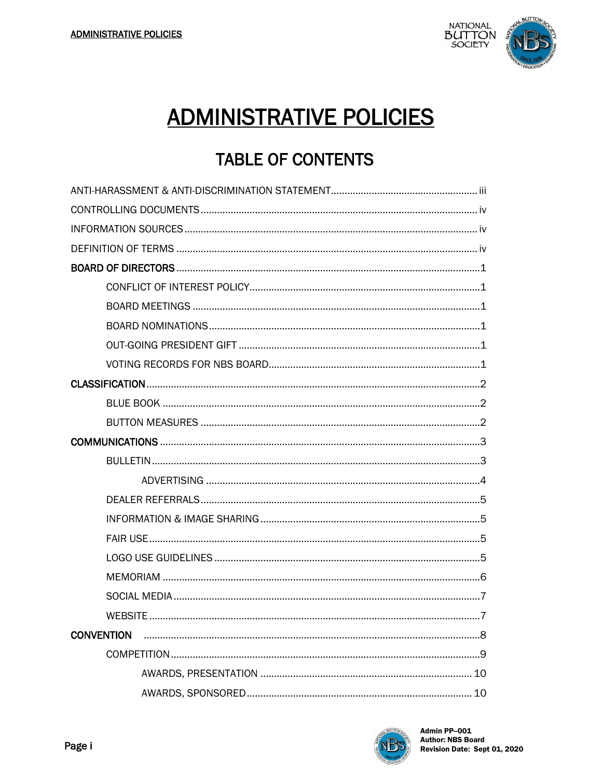

### **ADMINISTRATIVE POLICIES**

### **TABLE OF CONTENTS**

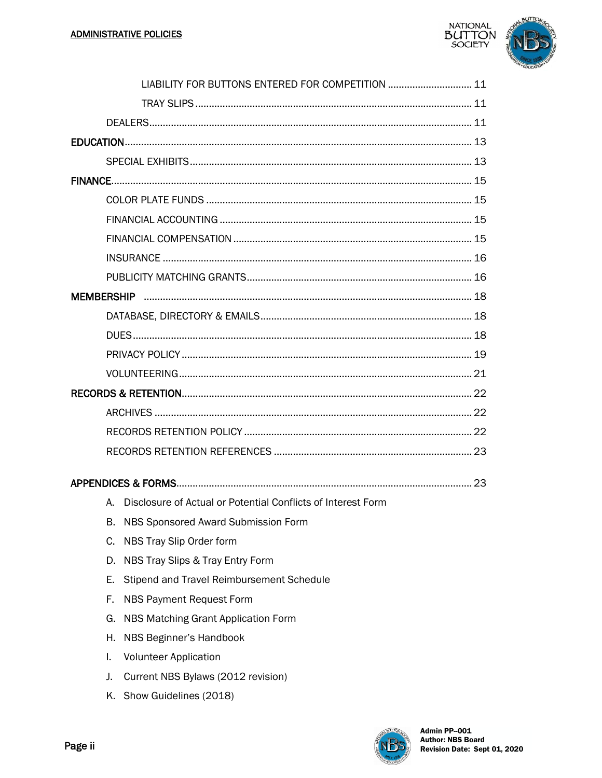

|    | LIABILITY FOR BUTTONS ENTERED FOR COMPETITION  11               |  |
|----|-----------------------------------------------------------------|--|
|    |                                                                 |  |
|    |                                                                 |  |
|    |                                                                 |  |
|    |                                                                 |  |
|    |                                                                 |  |
|    |                                                                 |  |
|    |                                                                 |  |
|    |                                                                 |  |
|    |                                                                 |  |
|    |                                                                 |  |
|    |                                                                 |  |
|    |                                                                 |  |
|    |                                                                 |  |
|    |                                                                 |  |
|    |                                                                 |  |
|    |                                                                 |  |
|    |                                                                 |  |
|    |                                                                 |  |
|    |                                                                 |  |
|    |                                                                 |  |
|    |                                                                 |  |
|    | A. Disclosure of Actual or Potential Conflicts of Interest Form |  |
| В. | NBS Sponsored Award Submission Form                             |  |
| C. | NBS Tray Slip Order form                                        |  |
| D. | NBS Tray Slips & Tray Entry Form                                |  |
| Е. | Stipend and Travel Reimbursement Schedule                       |  |
| F. | <b>NBS Payment Request Form</b>                                 |  |
| G. | NBS Matching Grant Application Form                             |  |

- H. NBS Beginner's Handbook
- **Volunteer Application** Τ.
- J. Current NBS Bylaws (2012 revision)
- K. Show Guidelines (2018)

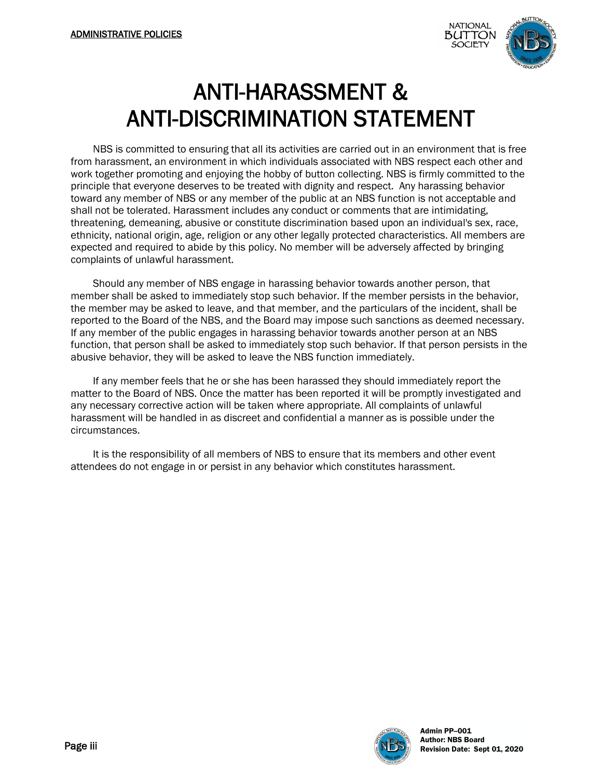

### ANTI-HARASSMENT & ANTI-DISCRIMINATION STATEMENT

NBS is committed to ensuring that all its activities are carried out in an environment that is free from harassment, an environment in which individuals associated with NBS respect each other and work together promoting and enjoying the hobby of button collecting. NBS is firmly committed to the principle that everyone deserves to be treated with dignity and respect. Any harassing behavior toward any member of NBS or any member of the public at an NBS function is not acceptable and shall not be tolerated. Harassment includes any conduct or comments that are intimidating, threatening, demeaning, abusive or constitute discrimination based upon an individual's sex, race, ethnicity, national origin, age, religion or any other legally protected characteristics. All members are expected and required to abide by this policy. No member will be adversely affected by bringing complaints of unlawful harassment.

Should any member of NBS engage in harassing behavior towards another person, that member shall be asked to immediately stop such behavior. If the member persists in the behavior, the member may be asked to leave, and that member, and the particulars of the incident, shall be reported to the Board of the NBS, and the Board may impose such sanctions as deemed necessary. If any member of the public engages in harassing behavior towards another person at an NBS function, that person shall be asked to immediately stop such behavior. If that person persists in the abusive behavior, they will be asked to leave the NBS function immediately.

If any member feels that he or she has been harassed they should immediately report the matter to the Board of NBS. Once the matter has been reported it will be promptly investigated and any necessary corrective action will be taken where appropriate. All complaints of unlawful harassment will be handled in as discreet and confidential a manner as is possible under the circumstances.

It is the responsibility of all members of NBS to ensure that its members and other event attendees do not engage in or persist in any behavior which constitutes harassment.

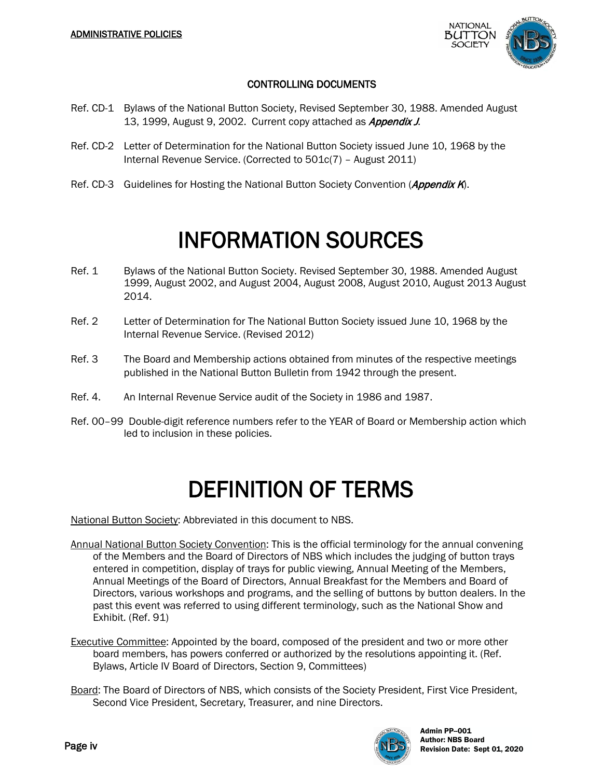

#### CONTROLLING DOCUMENTS

- Ref. CD-1 Bylaws of the National Button Society, Revised September 30, 1988. Amended August 13. 1999, August 9, 2002. Current copy attached as *Appendix J*.
- Ref. CD-2 Letter of Determination for the National Button Society issued June 10, 1968 by the Internal Revenue Service. (Corrected to 501c(7) – August 2011)
- Ref. CD-3 Guidelines for Hosting the National Button Society Convention (Appendix K).

### INFORMATION SOURCES

- Ref. 1 Bylaws of the National Button Society. Revised September 30, 1988. Amended August 1999, August 2002, and August 2004, August 2008, August 2010, August 2013 August 2014.
- Ref. 2 Letter of Determination for The National Button Society issued June 10, 1968 by the Internal Revenue Service. (Revised 2012)
- Ref. 3 The Board and Membership actions obtained from minutes of the respective meetings published in the National Button Bulletin from 1942 through the present.
- Ref. 4. An Internal Revenue Service audit of the Society in 1986 and 1987.
- Ref. 00–99 Double-digit reference numbers refer to the YEAR of Board or Membership action which led to inclusion in these policies.

### DEFINITION OF TERMS

National Button Society: Abbreviated in this document to NBS.

- Annual National Button Society Convention: This is the official terminology for the annual convening of the Members and the Board of Directors of NBS which includes the judging of button trays entered in competition, display of trays for public viewing, Annual Meeting of the Members, Annual Meetings of the Board of Directors, Annual Breakfast for the Members and Board of Directors, various workshops and programs, and the selling of buttons by button dealers. In the past this event was referred to using different terminology, such as the National Show and Exhibit. (Ref. 91)
- Executive Committee: Appointed by the board, composed of the president and two or more other board members, has powers conferred or authorized by the resolutions appointing it. (Ref. Bylaws, Article IV Board of Directors, Section 9, Committees)
- Board: The Board of Directors of NBS, which consists of the Society President, First Vice President, Second Vice President, Secretary, Treasurer, and nine Directors.

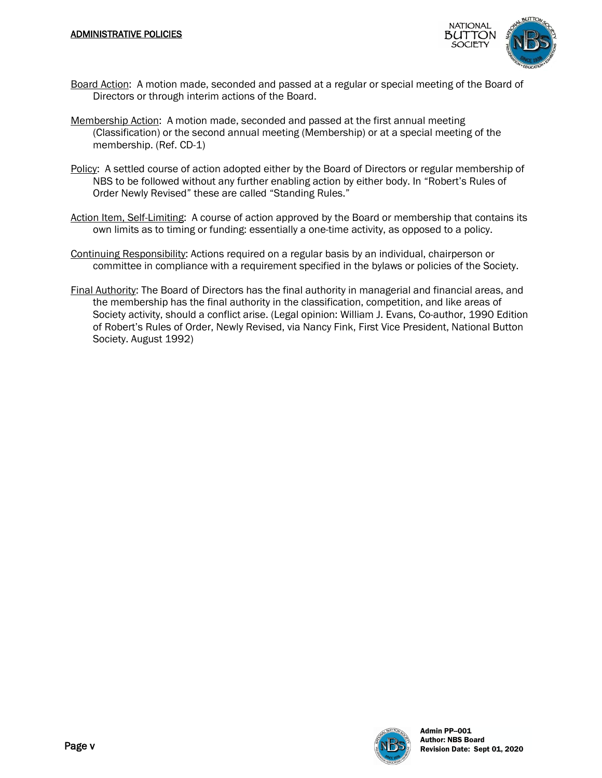

- Board Action: A motion made, seconded and passed at a regular or special meeting of the Board of Directors or through interim actions of the Board.
- Membership Action: A motion made, seconded and passed at the first annual meeting (Classification) or the second annual meeting (Membership) or at a special meeting of the membership. (Ref. CD-1)
- Policy: A settled course of action adopted either by the Board of Directors or regular membership of NBS to be followed without any further enabling action by either body. In "Robert's Rules of Order Newly Revised" these are called "Standing Rules."
- Action Item, Self-Limiting: A course of action approved by the Board or membership that contains its own limits as to timing or funding: essentially a one-time activity, as opposed to a policy.
- Continuing Responsibility: Actions required on a regular basis by an individual, chairperson or committee in compliance with a requirement specified in the bylaws or policies of the Society.
- Final Authority: The Board of Directors has the final authority in managerial and financial areas, and the membership has the final authority in the classification, competition, and like areas of Society activity, should a conflict arise. (Legal opinion: William J. Evans, Co-author, 1990 Edition of Robert's Rules of Order, Newly Revised, via Nancy Fink, First Vice President, National Button Society. August 1992)

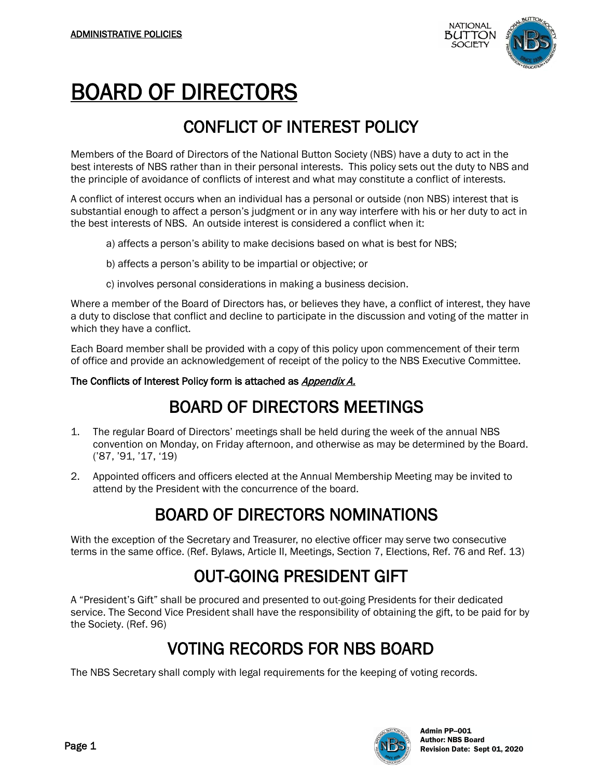

## BOARD OF DIRECTORS

#### CONFLICT OF INTEREST POLICY

Members of the Board of Directors of the National Button Society (NBS) have a duty to act in the best interests of NBS rather than in their personal interests. This policy sets out the duty to NBS and the principle of avoidance of conflicts of interest and what may constitute a conflict of interests.

A conflict of interest occurs when an individual has a personal or outside (non NBS) interest that is substantial enough to affect a person's judgment or in any way interfere with his or her duty to act in the best interests of NBS. An outside interest is considered a conflict when it:

- a) affects a person's ability to make decisions based on what is best for NBS;
- b) affects a person's ability to be impartial or objective; or
- c) involves personal considerations in making a business decision.

Where a member of the Board of Directors has, or believes they have, a conflict of interest, they have a duty to disclose that conflict and decline to participate in the discussion and voting of the matter in which they have a conflict.

Each Board member shall be provided with a copy of this policy upon commencement of their term of office and provide an acknowledgement of receipt of the policy to the NBS Executive Committee.

#### The Conflicts of Interest Policy form is attached as *Appendix A.*

#### BOARD OF DIRECTORS MEETINGS

- 1. The regular Board of Directors' meetings shall be held during the week of the annual NBS convention on Monday, on Friday afternoon, and otherwise as may be determined by the Board. ('87, '91, '17, '19)
- 2. Appointed officers and officers elected at the Annual Membership Meeting may be invited to attend by the President with the concurrence of the board.

#### BOARD OF DIRECTORS NOMINATIONS

With the exception of the Secretary and Treasurer, no elective officer may serve two consecutive terms in the same office. (Ref. Bylaws, Article II, Meetings, Section 7, Elections, Ref. 76 and Ref. 13)

#### OUT-GOING PRESIDENT GIFT

A "President's Gift" shall be procured and presented to out-going Presidents for their dedicated service. The Second Vice President shall have the responsibility of obtaining the gift, to be paid for by the Society. (Ref. 96)

#### VOTING RECORDS FOR NBS BOARD

The NBS Secretary shall comply with legal requirements for the keeping of voting records.

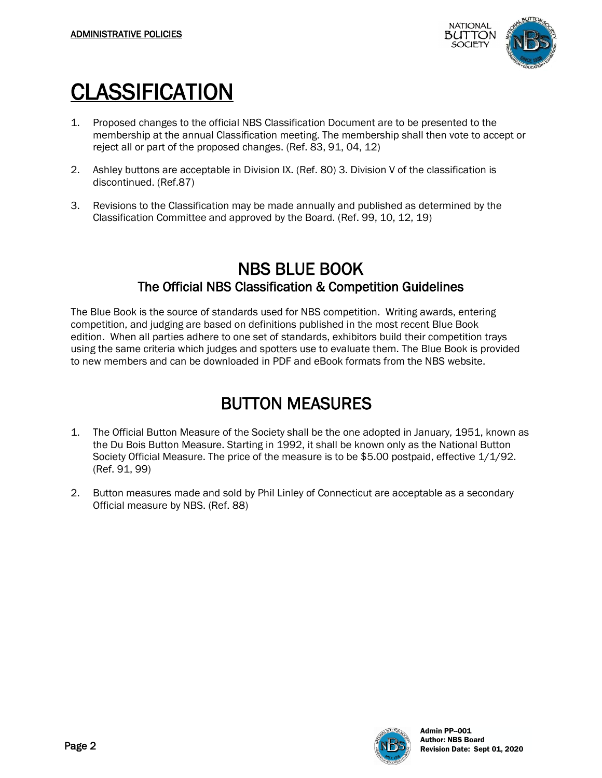

## **CLASSIFICATION**

- 1. Proposed changes to the official NBS Classification Document are to be presented to the membership at the annual Classification meeting. The membership shall then vote to accept or reject all or part of the proposed changes. (Ref. 83, 91, 04, 12)
- 2. Ashley buttons are acceptable in Division IX. (Ref. 80) 3. Division V of the classification is discontinued. (Ref.87)
- 3. Revisions to the Classification may be made annually and published as determined by the Classification Committee and approved by the Board. (Ref. 99, 10, 12, 19)

# **NBS BLUE BOOK**<br>The Official NBS Classification & Competition Guidelines

The Blue Book is the source of standards used for NBS competition. Writing awards, entering competition, and judging are based on definitions published in the most recent Blue Book edition. When all parties adhere to one set of standards, exhibitors build their competition trays using the same criteria which judges and spotters use to evaluate them. The Blue Book is provided to new members and can be downloaded in PDF and eBook formats from the NBS website.

#### BUTTON MEASURES

- 1. The Official Button Measure of the Society shall be the one adopted in January, 1951, known as the Du Bois Button Measure. Starting in 1992, it shall be known only as the National Button Society Official Measure. The price of the measure is to be \$5.00 postpaid, effective 1/1/92. (Ref. 91, 99)
- 2. Button measures made and sold by Phil Linley of Connecticut are acceptable as a secondary Official measure by NBS. (Ref. 88)

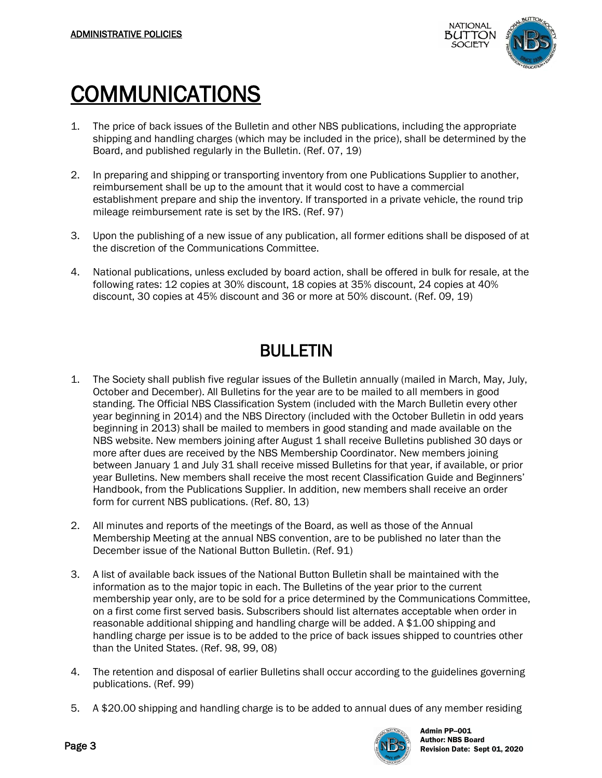

## COMMUNICATIONS

- 1. The price of back issues of the Bulletin and other NBS publications, including the appropriate shipping and handling charges (which may be included in the price), shall be determined by the Board, and published regularly in the Bulletin. (Ref. 07, 19)
- 2. In preparing and shipping or transporting inventory from one Publications Supplier to another, reimbursement shall be up to the amount that it would cost to have a commercial establishment prepare and ship the inventory. If transported in a private vehicle, the round trip mileage reimbursement rate is set by the IRS. (Ref. 97)
- 3. Upon the publishing of a new issue of any publication, all former editions shall be disposed of at the discretion of the Communications Committee.
- 4. National publications, unless excluded by board action, shall be offered in bulk for resale, at the following rates: 12 copies at 30% discount, 18 copies at 35% discount, 24 copies at 40% discount, 30 copies at 45% discount and 36 or more at 50% discount. (Ref. 09, 19)

#### BULLETIN

- 1. The Society shall publish five regular issues of the Bulletin annually (mailed in March, May, July, October and December). All Bulletins for the year are to be mailed to all members in good standing. The Official NBS Classification System (included with the March Bulletin every other year beginning in 2014) and the NBS Directory (included with the October Bulletin in odd years beginning in 2013) shall be mailed to members in good standing and made available on the NBS website. New members joining after August 1 shall receive Bulletins published 30 days or more after dues are received by the NBS Membership Coordinator. New members joining between January 1 and July 31 shall receive missed Bulletins for that year, if available, or prior year Bulletins. New members shall receive the most recent Classification Guide and Beginners' Handbook, from the Publications Supplier. In addition, new members shall receive an order form for current NBS publications. (Ref. 80, 13)
- 2. All minutes and reports of the meetings of the Board, as well as those of the Annual Membership Meeting at the annual NBS convention, are to be published no later than the December issue of the National Button Bulletin. (Ref. 91)
- 3. A list of available back issues of the National Button Bulletin shall be maintained with the information as to the major topic in each. The Bulletins of the year prior to the current membership year only, are to be sold for a price determined by the Communications Committee, on a first come first served basis. Subscribers should list alternates acceptable when order in reasonable additional shipping and handling charge will be added. A \$1.00 shipping and handling charge per issue is to be added to the price of back issues shipped to countries other than the United States. (Ref. 98, 99, 08)
- 4. The retention and disposal of earlier Bulletins shall occur according to the guidelines governing publications. (Ref. 99)
- 5. A \$20.00 shipping and handling charge is to be added to annual dues of any member residing

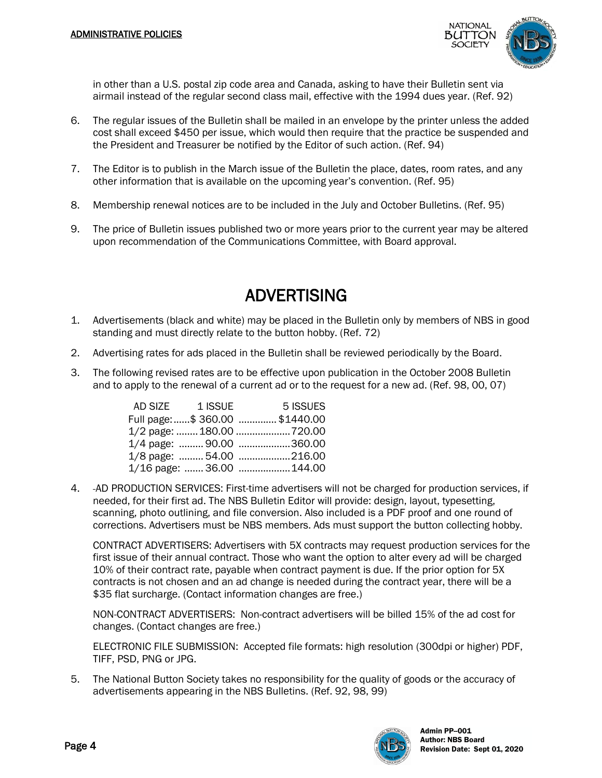

in other than a U.S. postal zip code area and Canada, asking to have their Bulletin sent via airmail instead of the regular second class mail, effective with the 1994 dues year. (Ref. 92)

- 6. The regular issues of the Bulletin shall be mailed in an envelope by the printer unless the added cost shall exceed \$450 per issue, which would then require that the practice be suspended and the President and Treasurer be notified by the Editor of such action. (Ref. 94)
- 7. The Editor is to publish in the March issue of the Bulletin the place, dates, room rates, and any other information that is available on the upcoming year's convention. (Ref. 95)
- 8. Membership renewal notices are to be included in the July and October Bulletins. (Ref. 95)
- 9. The price of Bulletin issues published two or more years prior to the current year may be altered upon recommendation of the Communications Committee, with Board approval.

#### ADVERTISING

- 1. Advertisements (black and white) may be placed in the Bulletin only by members of NBS in good standing and must directly relate to the button hobby. (Ref. 72)
- 2. Advertising rates for ads placed in the Bulletin shall be reviewed periodically by the Board.
- 3. The following revised rates are to be effective upon publication in the October 2008 Bulletin and to apply to the renewal of a current ad or to the request for a new ad. (Ref. 98, 00, 07)

| AD SIZE | 1 ISSUE | 5 ISSUES                       |
|---------|---------|--------------------------------|
|         |         | Full page: \$ 360.00 \$1440.00 |
|         |         | 1/2 page:  180.00  720.00      |
|         |         | 1/4 page:  90.00 360.00        |
|         |         | 1/8 page:  54.00 216.00        |
|         |         | 1/16 page:  36.00  144.00      |

4. AD PRODUCTION SERVICES: First-time advertisers will not be charged for production services, if needed, for their first ad. The NBS Bulletin Editor will provide: design, layout, typesetting, scanning, photo outlining, and file conversion. Also included is a PDF proof and one round of corrections. Advertisers must be NBS members. Ads must support the button collecting hobby.

CONTRACT ADVERTISERS: Advertisers with 5X contracts may request production services for the first issue of their annual contract. Those who want the option to alter every ad will be charged 10% of their contract rate, payable when contract payment is due. If the prior option for 5X contracts is not chosen and an ad change is needed during the contract year, there will be a \$35 flat surcharge. (Contact information changes are free.)

NON-CONTRACT ADVERTISERS: Non-contract advertisers will be billed 15% of the ad cost for changes. (Contact changes are free.)

ELECTRONIC FILE SUBMISSION: Accepted file formats: high resolution (300dpi or higher) PDF, TIFF, PSD, PNG or JPG.

5. The National Button Society takes no responsibility for the quality of goods or the accuracy of advertisements appearing in the NBS Bulletins. (Ref. 92, 98, 99)

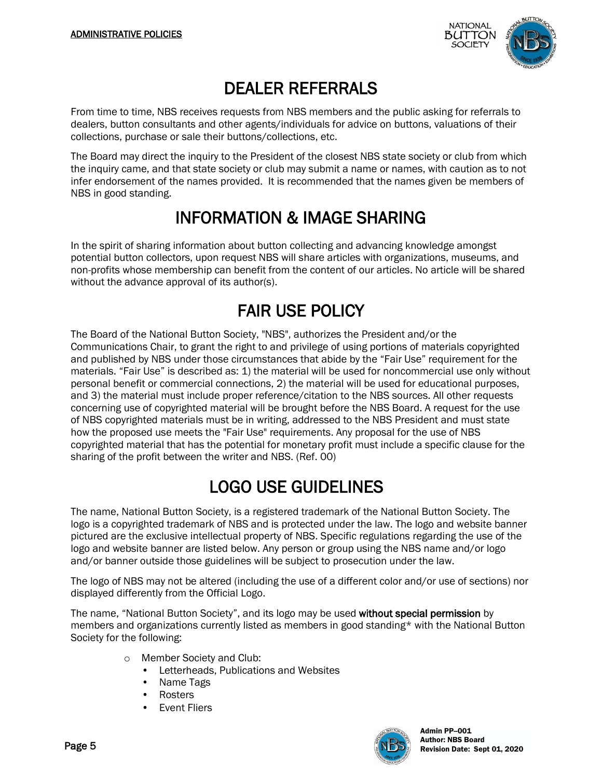

#### DEALER REFERRALS

From time to time, NBS receives requests from NBS members and the public asking for referrals to dealers, button consultants and other agents/individuals for advice on buttons, valuations of their collections, purchase or sale their buttons/collections, etc.

The Board may direct the inquiry to the President of the closest NBS state society or club from which the inquiry came, and that state society or club may submit a name or names, with caution as to not infer endorsement of the names provided. It is recommended that the names given be members of NBS in good standing.

#### INFORMATION & IMAGE SHARING

In the spirit of sharing information about button collecting and advancing knowledge amongst potential button collectors, upon request NBS will share articles with organizations, museums, and non-profits whose membership can benefit from the content of our articles. No article will be shared without the advance approval of its author(s).

#### FAIR USE POLICY

The Board of the National Button Society, "NBS", authorizes the President and/or the Communications Chair, to grant the right to and privilege of using portions of materials copyrighted and published by NBS under those circumstances that abide by the "Fair Use" requirement for the materials. "Fair Use" is described as: 1) the material will be used for noncommercial use only without personal benefit or commercial connections, 2) the material will be used for educational purposes, and 3) the material must include proper reference/citation to the NBS sources. All other requests concerning use of copyrighted material will be brought before the NBS Board. A request for the use of NBS copyrighted materials must be in writing, addressed to the NBS President and must state how the proposed use meets the "Fair Use" requirements. Any proposal for the use of NBS copyrighted material that has the potential for monetary profit must include a specific clause for the sharing of the profit between the writer and NBS. (Ref. 00)

#### LOGO USE GUIDELINES

The name, National Button Society, is a registered trademark of the National Button Society. The logo is a copyrighted trademark of NBS and is protected under the law. The logo and website banner pictured are the exclusive intellectual property of NBS. Specific regulations regarding the use of the logo and website banner are listed below. Any person or group using the NBS name and/or logo and/or banner outside those guidelines will be subject to prosecution under the law.

The logo of NBS may not be altered (including the use of a different color and/or use of sections) nor displayed differently from the Official Logo.

The name, "National Button Society", and its logo may be used without special permission by members and organizations currently listed as members in good standing\* with the National Button Society for the following:

- o Member Society and Club:
	- Letterheads, Publications and Websites
	- Name Tags
	- Rosters
	- **Event Fliers**

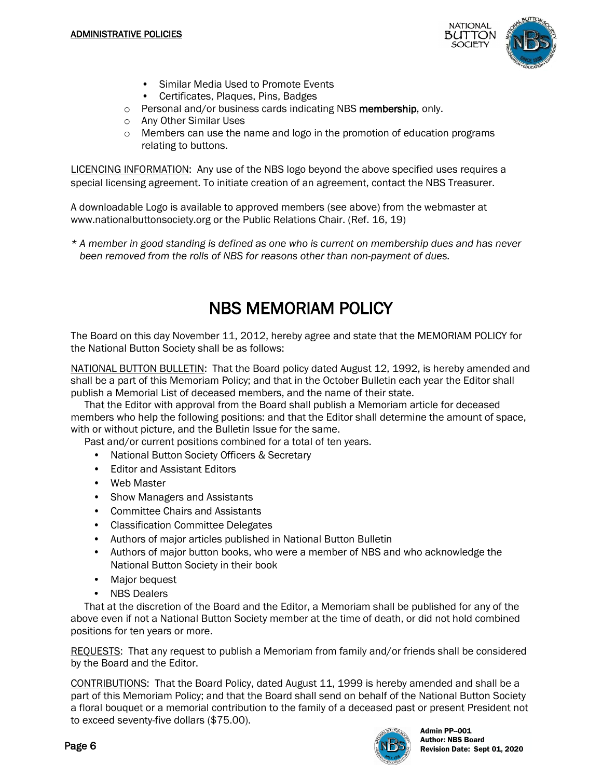

- Similar Media Used to Promote Events
- Certificates, Plaques, Pins, Badges
- o Personal and/or business cards indicating NBS membership, only.
- o Any Other Similar Uses
- $\circ$  Members can use the name and logo in the promotion of education programs relating to buttons.

LICENCING INFORMATION: Any use of the NBS logo beyond the above specified uses requires a special licensing agreement. To initiate creation of an agreement, contact the NBS Treasurer.

A downloadable Logo is available to approved members (see above) from the webmaster at www.nationalbuttonsociety.org or the Public Relations Chair. (Ref. 16, 19)

*\* A member in good standing is defined as one who is current on membership dues and has never been removed from the rolls of NBS for reasons other than non-payment of dues.* 

#### NBS MEMORIAM POLICY

The Board on this day November 11, 2012, hereby agree and state that the MEMORIAM POLICY for the National Button Society shall be as follows:

NATIONAL BUTTON BULLETIN: That the Board policy dated August 12, 1992, is hereby amended and shall be a part of this Memoriam Policy; and that in the October Bulletin each year the Editor shall publish a Memorial List of deceased members, and the name of their state.

 That the Editor with approval from the Board shall publish a Memoriam article for deceased members who help the following positions: and that the Editor shall determine the amount of space, with or without picture, and the Bulletin Issue for the same.

Past and/or current positions combined for a total of ten years.

- National Button Society Officers & Secretary
- Editor and Assistant Editors
- Web Master
- Show Managers and Assistants
- Committee Chairs and Assistants
- Classification Committee Delegates
- Authors of major articles published in National Button Bulletin
- Authors of major button books, who were a member of NBS and who acknowledge the National Button Society in their book
- Major bequest
- NBS Dealers

 That at the discretion of the Board and the Editor, a Memoriam shall be published for any of the above even if not a National Button Society member at the time of death, or did not hold combined positions for ten years or more.

REQUESTS: That any request to publish a Memoriam from family and/or friends shall be considered by the Board and the Editor.

CONTRIBUTIONS: That the Board Policy, dated August 11, 1999 is hereby amended and shall be a part of this Memoriam Policy; and that the Board shall send on behalf of the National Button Society a floral bouquet or a memorial contribution to the family of a deceased past or present President not to exceed seventy-five dollars (\$75.00).

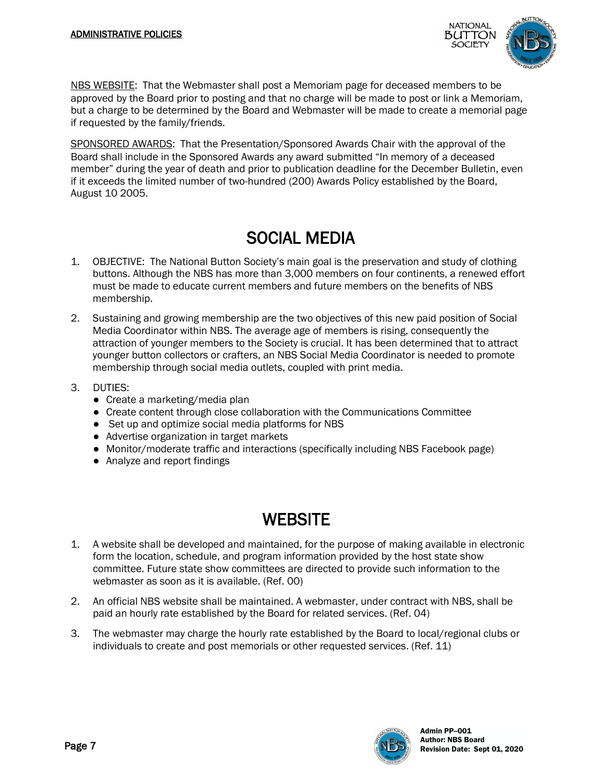

NBS WEBSITE: That the Webmaster shall post a Memoriam page for deceased members to be approved by the Board prior to posting and that no charge will be made to post or link a Memoriam, but a charge to be determined by the Board and Webmaster will be made to create a memorial page if requested by the family/friends.

SPONSORED AWARDS: That the Presentation/Sponsored Awards Chair with the approval of the Board shall include in the Sponsored Awards any award submitted "In memory of a deceased member" during the year of death and prior to publication deadline for the December Bulletin, even if it exceeds the limited number of two-hundred (200) Awards Policy established by the Board, August 10 2005.

#### SOCIAL MEDIA

- 1. OBJECTIVE: The National Button Society's main goal is the preservation and study of clothing buttons. Although the NBS has more than 3,000 members on four continents, a renewed effort must be made to educate current members and future members on the benefits of NBS membership.
- 2. Sustaining and growing membership are the two objectives of this new paid position of Social Media Coordinator within NBS. The average age of members is rising, consequently the attraction of younger members to the Society is crucial. It has been determined that to attract younger button collectors or crafters, an NBS Social Media Coordinator is needed to promote membership through social media outlets, coupled with print media.
- 3. DUTIES:
	- Create a marketing/media plan
	- Create content through close collaboration with the Communications Committee
	- Set up and optimize social media platforms for NBS
	- Advertise organization in target markets
	- Monitor/moderate traffic and interactions (specifically including NBS Facebook page)
	- Analyze and report findings

#### **WEBSITE**

- 1. A website shall be developed and maintained, for the purpose of making available in electronic form the location, schedule, and program information provided by the host state show committee. Future state show committees are directed to provide such information to the webmaster as soon as it is available. (Ref. 00)
- 2. An official NBS website shall be maintained. A webmaster, under contract with NBS, shall be paid an hourly rate established by the Board for related services. (Ref. 04)
- 3. The webmaster may charge the hourly rate established by the Board to local/regional clubs or individuals to create and post memorials or other requested services. (Ref. 11)

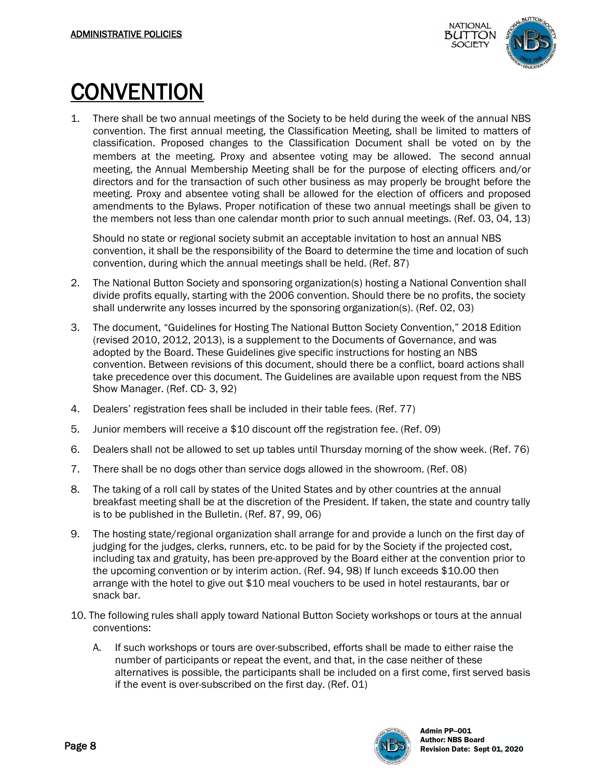

CONVENTION<br>1. There shall be two annual meetings of the Society to be held during the week of the annual NBS convention. The first annual meeting, the Classification Meeting, shall be limited to matters of classification. Proposed changes to the Classification Document shall be voted on by the members at the meeting. Proxy and absentee voting may be allowed. The second annual meeting, the Annual Membership Meeting shall be for the purpose of electing officers and/or directors and for the transaction of such other business as may properly be brought before the meeting. Proxy and absentee voting shall be allowed for the election of officers and proposed amendments to the Bylaws. Proper notification of these two annual meetings shall be given to the members not less than one calendar month prior to such annual meetings. (Ref. 03, 04, 13)

Should no state or regional society submit an acceptable invitation to host an annual NBS convention, it shall be the responsibility of the Board to determine the time and location of such convention, during which the annual meetings shall be held. (Ref. 87)

- 2. The National Button Society and sponsoring organization(s) hosting a National Convention shall divide profits equally, starting with the 2006 convention. Should there be no profits, the society shall underwrite any losses incurred by the sponsoring organization(s). (Ref. 02, 03)
- 3. The document, "Guidelines for Hosting The National Button Society Convention," 2018 Edition (revised 2010, 2012, 2013), is a supplement to the Documents of Governance, and was adopted by the Board. These Guidelines give specific instructions for hosting an NBS convention. Between revisions of this document, should there be a conflict, board actions shall take precedence over this document. The Guidelines are available upon request from the NBS Show Manager. (Ref. CD- 3, 92)
- 4. Dealers' registration fees shall be included in their table fees. (Ref. 77)
- 5. Junior members will receive a \$10 discount off the registration fee. (Ref. 09)
- 6. Dealers shall not be allowed to set up tables until Thursday morning of the show week. (Ref. 76)
- 7. There shall be no dogs other than service dogs allowed in the showroom. (Ref. 08)
- 8. The taking of a roll call by states of the United States and by other countries at the annual breakfast meeting shall be at the discretion of the President. If taken, the state and country tally is to be published in the Bulletin. (Ref. 87, 99, 06)
- 9. The hosting state/regional organization shall arrange for and provide a lunch on the first day of judging for the judges, clerks, runners, etc. to be paid for by the Society if the projected cost, including tax and gratuity, has been pre-approved by the Board either at the convention prior to the upcoming convention or by interim action. (Ref. 94, 98) If lunch exceeds \$10.00 then arrange with the hotel to give out \$10 meal vouchers to be used in hotel restaurants, bar or snack bar.
- 10. The following rules shall apply toward National Button Society workshops or tours at the annual conventions:
	- A. If such workshops or tours are over-subscribed, efforts shall be made to either raise the number of participants or repeat the event, and that, in the case neither of these alternatives is possible, the participants shall be included on a first come, first served basis if the event is over-subscribed on the first day. (Ref. 01)

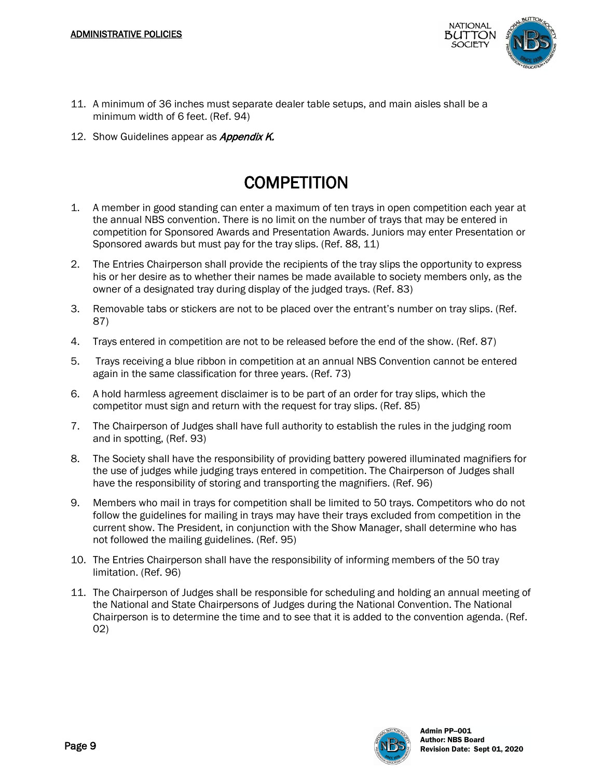

- 11. A minimum of 36 inches must separate dealer table setups, and main aisles shall be a minimum width of 6 feet. (Ref. 94)
- 12. Show Guidelines appear as *Appendix K.*

#### **COMPETITION**

- 1. A member in good standing can enter a maximum of ten trays in open competition each year at the annual NBS convention. There is no limit on the number of trays that may be entered in competition for Sponsored Awards and Presentation Awards. Juniors may enter Presentation or Sponsored awards but must pay for the tray slips. (Ref. 88, 11)
- 2. The Entries Chairperson shall provide the recipients of the tray slips the opportunity to express his or her desire as to whether their names be made available to society members only, as the owner of a designated tray during display of the judged trays. (Ref. 83)
- 3. Removable tabs or stickers are not to be placed over the entrant's number on tray slips. (Ref. 87)
- 4. Trays entered in competition are not to be released before the end of the show. (Ref. 87)
- 5. Trays receiving a blue ribbon in competition at an annual NBS Convention cannot be entered again in the same classification for three years. (Ref. 73)
- 6. A hold harmless agreement disclaimer is to be part of an order for tray slips, which the competitor must sign and return with the request for tray slips. (Ref. 85)
- 7. The Chairperson of Judges shall have full authority to establish the rules in the judging room and in spotting, (Ref. 93)
- 8. The Society shall have the responsibility of providing battery powered illuminated magnifiers for the use of judges while judging trays entered in competition. The Chairperson of Judges shall have the responsibility of storing and transporting the magnifiers. (Ref. 96)
- 9. Members who mail in trays for competition shall be limited to 50 trays. Competitors who do not follow the guidelines for mailing in trays may have their trays excluded from competition in the current show. The President, in conjunction with the Show Manager, shall determine who has not followed the mailing guidelines. (Ref. 95)
- 10. The Entries Chairperson shall have the responsibility of informing members of the 50 tray limitation. (Ref. 96)
- 11. The Chairperson of Judges shall be responsible for scheduling and holding an annual meeting of the National and State Chairpersons of Judges during the National Convention. The National Chairperson is to determine the time and to see that it is added to the convention agenda. (Ref. 02)

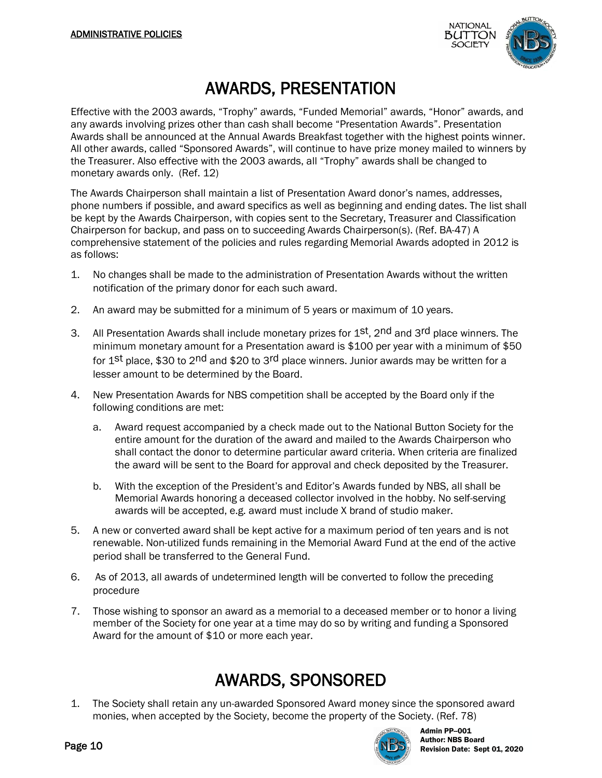

#### AWARDS, PRESENTATION

Effective with the 2003 awards, "Trophy" awards, "Funded Memorial" awards, "Honor" awards, and any awards involving prizes other than cash shall become "Presentation Awards". Presentation Awards shall be announced at the Annual Awards Breakfast together with the highest points winner. All other awards, called "Sponsored Awards", will continue to have prize money mailed to winners by the Treasurer. Also effective with the 2003 awards, all "Trophy" awards shall be changed to monetary awards only. (Ref. 12)

The Awards Chairperson shall maintain a list of Presentation Award donor's names, addresses, phone numbers if possible, and award specifics as well as beginning and ending dates. The list shall be kept by the Awards Chairperson, with copies sent to the Secretary, Treasurer and Classification Chairperson for backup, and pass on to succeeding Awards Chairperson(s). (Ref. BA-47) A comprehensive statement of the policies and rules regarding Memorial Awards adopted in 2012 is as follows:

- 1. No changes shall be made to the administration of Presentation Awards without the written notification of the primary donor for each such award.
- 2. An award may be submitted for a minimum of 5 years or maximum of 10 years.
- 3. All Presentation Awards shall include monetary prizes for 1st, 2nd and 3rd place winners. The minimum monetary amount for a Presentation award is \$100 per year with a minimum of \$50 for 1st place, \$30 to 2nd and \$20 to 3rd place winners. Junior awards may be written for a lesser amount to be determined by the Board.
- 4. New Presentation Awards for NBS competition shall be accepted by the Board only if the following conditions are met:
	- a. Award request accompanied by a check made out to the National Button Society for the entire amount for the duration of the award and mailed to the Awards Chairperson who shall contact the donor to determine particular award criteria. When criteria are finalized the award will be sent to the Board for approval and check deposited by the Treasurer.
	- b. With the exception of the President's and Editor's Awards funded by NBS, all shall be Memorial Awards honoring a deceased collector involved in the hobby. No self-serving awards will be accepted, e.g. award must include X brand of studio maker.
- 5. A new or converted award shall be kept active for a maximum period of ten years and is not renewable. Non-utilized funds remaining in the Memorial Award Fund at the end of the active period shall be transferred to the General Fund.
- 6. As of 2013, all awards of undetermined length will be converted to follow the preceding procedure
- 7. Those wishing to sponsor an award as a memorial to a deceased member or to honor a living member of the Society for one year at a time may do so by writing and funding a Sponsored Award for the amount of \$10 or more each year.

#### AWARDS, SPONSORED

1. The Society shall retain any un-awarded Sponsored Award money since the sponsored award monies, when accepted by the Society, become the property of the Society. (Ref. 78)

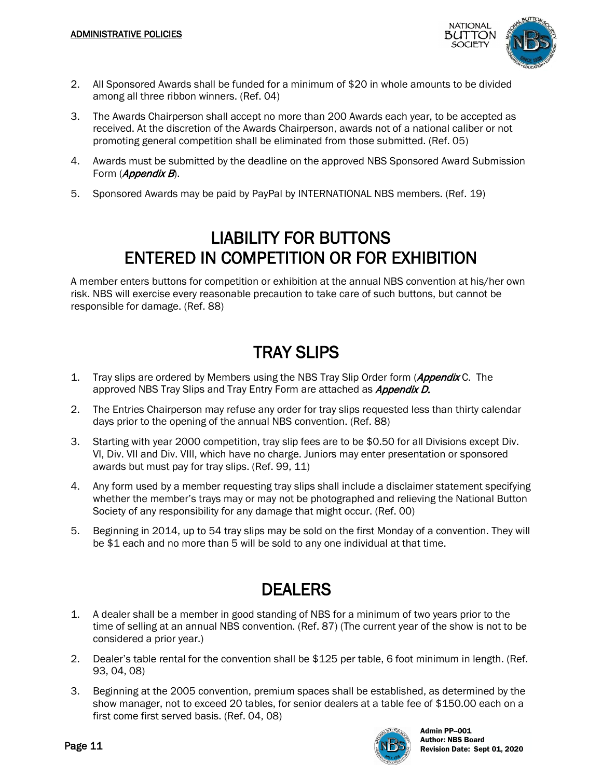

- 2. All Sponsored Awards shall be funded for a minimum of \$20 in whole amounts to be divided among all three ribbon winners. (Ref. 04)
- 3. The Awards Chairperson shall accept no more than 200 Awards each year, to be accepted as received. At the discretion of the Awards Chairperson, awards not of a national caliber or not promoting general competition shall be eliminated from those submitted. (Ref. 05)
- 4. Awards must be submitted by the deadline on the approved NBS Sponsored Award Submission Form (Appendix B).
- 5. Sponsored Awards may be paid by PayPal by INTERNATIONAL NBS members. (Ref. 19)

#### LIABILITY FOR BUTTONS ENTERED IN COMPETITION OR FOR EXHIBITION

A member enters buttons for competition or exhibition at the annual NBS convention at his/her own risk. NBS will exercise every reasonable precaution to take care of such buttons, but cannot be responsible for damage. (Ref. 88)

#### TRAY SLIPS

- 1. Tray slips are ordered by Members using the NBS Tray Slip Order form (*Appendix* C. The approved NBS Tray Slips and Tray Entry Form are attached as **Appendix D.**
- 2. The Entries Chairperson may refuse any order for tray slips requested less than thirty calendar days prior to the opening of the annual NBS convention. (Ref. 88)
- 3. Starting with year 2000 competition, tray slip fees are to be \$0.50 for all Divisions except Div. VI, Div. VII and Div. VIII, which have no charge. Juniors may enter presentation or sponsored awards but must pay for tray slips. (Ref. 99, 11)
- 4. Any form used by a member requesting tray slips shall include a disclaimer statement specifying whether the member's trays may or may not be photographed and relieving the National Button Society of any responsibility for any damage that might occur. (Ref. 00)
- 5. Beginning in 2014, up to 54 tray slips may be sold on the first Monday of a convention. They will be \$1 each and no more than 5 will be sold to any one individual at that time.

#### DEALERS

- 1. A dealer shall be a member in good standing of NBS for a minimum of two years prior to the time of selling at an annual NBS convention. (Ref. 87) (The current year of the show is not to be considered a prior year.)
- 2. Dealer's table rental for the convention shall be \$125 per table, 6 foot minimum in length. (Ref. 93, 04, 08)
- 3. Beginning at the 2005 convention, premium spaces shall be established, as determined by the show manager, not to exceed 20 tables, for senior dealers at a table fee of \$150.00 each on a first come first served basis. (Ref. 04, 08)

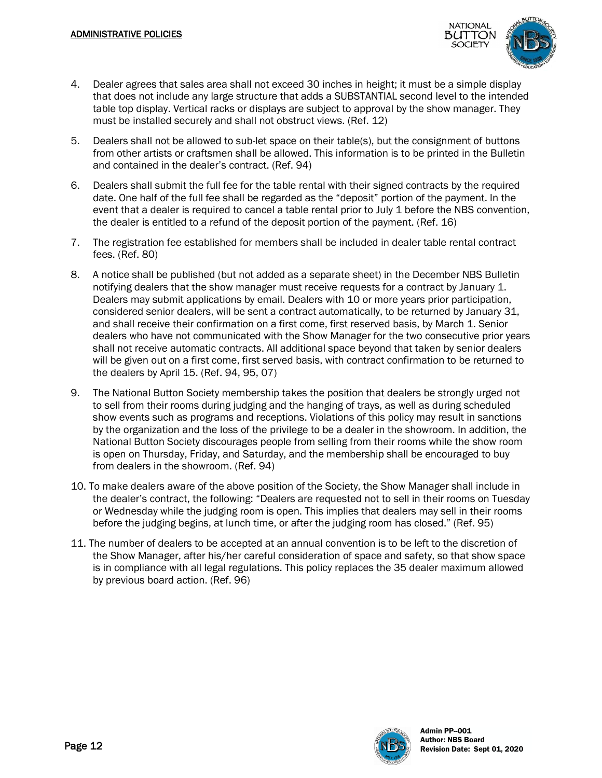

- 4. Dealer agrees that sales area shall not exceed 30 inches in height; it must be a simple display that does not include any large structure that adds a SUBSTANTIAL second level to the intended table top display. Vertical racks or displays are subject to approval by the show manager. They must be installed securely and shall not obstruct views. (Ref. 12)
- 5. Dealers shall not be allowed to sub-let space on their table(s), but the consignment of buttons from other artists or craftsmen shall be allowed. This information is to be printed in the Bulletin and contained in the dealer's contract. (Ref. 94)
- 6. Dealers shall submit the full fee for the table rental with their signed contracts by the required date. One half of the full fee shall be regarded as the "deposit" portion of the payment. In the event that a dealer is required to cancel a table rental prior to July 1 before the NBS convention, the dealer is entitled to a refund of the deposit portion of the payment. (Ref. 16)
- 7. The registration fee established for members shall be included in dealer table rental contract fees. (Ref. 80)
- 8. A notice shall be published (but not added as a separate sheet) in the December NBS Bulletin notifying dealers that the show manager must receive requests for a contract by January 1. Dealers may submit applications by email. Dealers with 10 or more years prior participation, considered senior dealers, will be sent a contract automatically, to be returned by January 31, and shall receive their confirmation on a first come, first reserved basis, by March 1. Senior dealers who have not communicated with the Show Manager for the two consecutive prior years shall not receive automatic contracts. All additional space beyond that taken by senior dealers will be given out on a first come, first served basis, with contract confirmation to be returned to the dealers by April 15. (Ref. 94, 95, 07)
- 9. The National Button Society membership takes the position that dealers be strongly urged not to sell from their rooms during judging and the hanging of trays, as well as during scheduled show events such as programs and receptions. Violations of this policy may result in sanctions by the organization and the loss of the privilege to be a dealer in the showroom. In addition, the National Button Society discourages people from selling from their rooms while the show room is open on Thursday, Friday, and Saturday, and the membership shall be encouraged to buy from dealers in the showroom. (Ref. 94)
- 10. To make dealers aware of the above position of the Society, the Show Manager shall include in the dealer's contract, the following: "Dealers are requested not to sell in their rooms on Tuesday or Wednesday while the judging room is open. This implies that dealers may sell in their rooms before the judging begins, at lunch time, or after the judging room has closed." (Ref. 95)
- 11. The number of dealers to be accepted at an annual convention is to be left to the discretion of the Show Manager, after his/her careful consideration of space and safety, so that show space is in compliance with all legal regulations. This policy replaces the 35 dealer maximum allowed by previous board action. (Ref. 96)

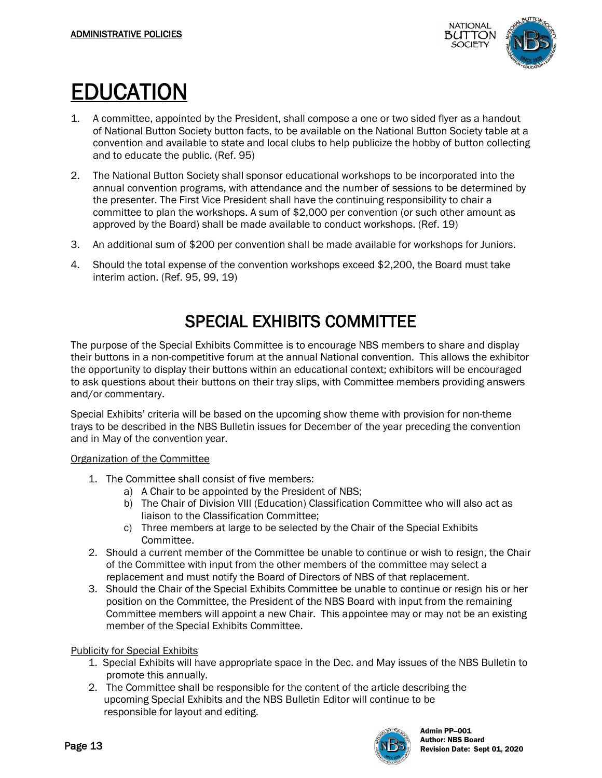

- EDUCATION<br>1. A committee, appointed by the President, shall compose a one or two sided flyer as a handout of National Button Society button facts, to be available on the National Button Society table at a convention and available to state and local clubs to help publicize the hobby of button collecting and to educate the public. (Ref. 95)
- 2. The National Button Society shall sponsor educational workshops to be incorporated into the annual convention programs, with attendance and the number of sessions to be determined by the presenter. The First Vice President shall have the continuing responsibility to chair a committee to plan the workshops. A sum of \$2,000 per convention (or such other amount as approved by the Board) shall be made available to conduct workshops. (Ref. 19)
- 3. An additional sum of \$200 per convention shall be made available for workshops for Juniors.
- 4. Should the total expense of the convention workshops exceed \$2,200, the Board must take interim action. (Ref. 95, 99, 19)

#### SPECIAL EXHIBITS COMMITTEE

The purpose of the Special Exhibits Committee is to encourage NBS members to share and display their buttons in a non-competitive forum at the annual National convention. This allows the exhibitor the opportunity to display their buttons within an educational context; exhibitors will be encouraged to ask questions about their buttons on their tray slips, with Committee members providing answers and/or commentary.

Special Exhibits' criteria will be based on the upcoming show theme with provision for non-theme trays to be described in the NBS Bulletin issues for December of the year preceding the convention and in May of the convention year.

#### Organization of the Committee

- 1. The Committee shall consist of five members:
	- a) A Chair to be appointed by the President of NBS;
	- b) The Chair of Division VIII (Education) Classification Committee who will also act as liaison to the Classification Committee;
	- c) Three members at large to be selected by the Chair of the Special Exhibits Committee.
- 2. Should a current member of the Committee be unable to continue or wish to resign, the Chair of the Committee with input from the other members of the committee may select a replacement and must notify the Board of Directors of NBS of that replacement.
- 3. Should the Chair of the Special Exhibits Committee be unable to continue or resign his or her position on the Committee, the President of the NBS Board with input from the remaining Committee members will appoint a new Chair. This appointee may or may not be an existing member of the Special Exhibits Committee.

#### Publicity for Special Exhibits

- 1. Special Exhibits will have appropriate space in the Dec. and May issues of the NBS Bulletin to promote this annually.
- 2. The Committee shall be responsible for the content of the article describing the upcoming Special Exhibits and the NBS Bulletin Editor will continue to be responsible for layout and editing.

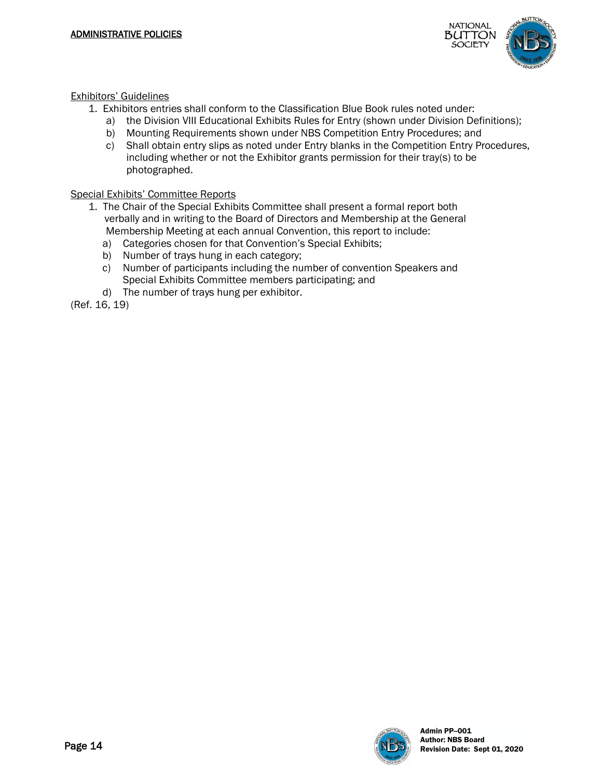

Exhibitors' Guidelines

- 1. Exhibitors entries shall conform to the Classification Blue Book rules noted under:
	- a) the Division VIII Educational Exhibits Rules for Entry (shown under Division Definitions);
	- b) Mounting Requirements shown under NBS Competition Entry Procedures; and
	- c) Shall obtain entry slips as noted under Entry blanks in the Competition Entry Procedures, including whether or not the Exhibitor grants permission for their tray(s) to be photographed.

Special Exhibits' Committee Reports

- 1. The Chair of the Special Exhibits Committee shall present a formal report both verbally and in writing to the Board of Directors and Membership at the General Membership Meeting at each annual Convention, this report to include:
	- a) Categories chosen for that Convention's Special Exhibits;
	- b) Number of trays hung in each category;
	- c) Number of participants including the number of convention Speakers and Special Exhibits Committee members participating; and
	- d) The number of trays hung per exhibitor.

(Ref. 16, 19)

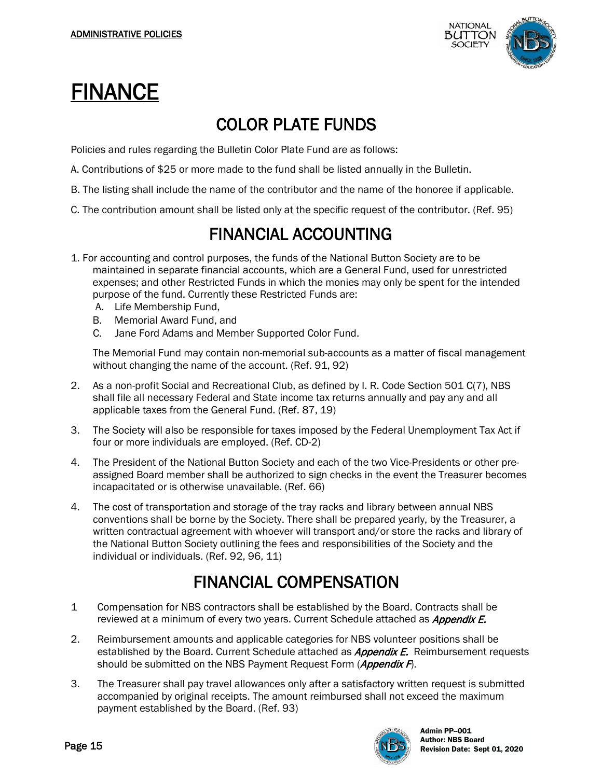

### FINANCE

#### COLOR PLATE FUNDS

Policies and rules regarding the Bulletin Color Plate Fund are as follows:

- A. Contributions of \$25 or more made to the fund shall be listed annually in the Bulletin.
- B. The listing shall include the name of the contributor and the name of the honoree if applicable.
- C. The contribution amount shall be listed only at the specific request of the contributor. (Ref. 95)

#### FINANCIAL ACCOUNTING

- 1. For accounting and control purposes, the funds of the National Button Society are to be maintained in separate financial accounts, which are a General Fund, used for unrestricted expenses; and other Restricted Funds in which the monies may only be spent for the intended purpose of the fund. Currently these Restricted Funds are:
	- A. Life Membership Fund,
	- B. Memorial Award Fund, and
	- C. Jane Ford Adams and Member Supported Color Fund.

The Memorial Fund may contain non-memorial sub-accounts as a matter of fiscal management without changing the name of the account. (Ref. 91, 92)

- 2. As a non-profit Social and Recreational Club, as defined by I. R. Code Section 501 C(7), NBS shall file all necessary Federal and State income tax returns annually and pay any and all applicable taxes from the General Fund. (Ref. 87, 19)
- 3. The Society will also be responsible for taxes imposed by the Federal Unemployment Tax Act if four or more individuals are employed. (Ref. CD-2)
- 4. The President of the National Button Society and each of the two Vice-Presidents or other preassigned Board member shall be authorized to sign checks in the event the Treasurer becomes incapacitated or is otherwise unavailable. (Ref. 66)
- 4. The cost of transportation and storage of the tray racks and library between annual NBS conventions shall be borne by the Society. There shall be prepared yearly, by the Treasurer, a written contractual agreement with whoever will transport and/or store the racks and library of the National Button Society outlining the fees and responsibilities of the Society and the individual or individuals. (Ref. 92, 96, 11)

#### FINANCIAL COMPENSATION

- 1 Compensation for NBS contractors shall be established by the Board. Contracts shall be reviewed at a minimum of every two years. Current Schedule attached as *Appendix E.*
- 2. Reimbursement amounts and applicable categories for NBS volunteer positions shall be established by the Board. Current Schedule attached as *Appendix E.* Reimbursement requests should be submitted on the NBS Payment Request Form (*Appendix F*).
- 3. The Treasurer shall pay travel allowances only after a satisfactory written request is submitted accompanied by original receipts. The amount reimbursed shall not exceed the maximum payment established by the Board. (Ref. 93)

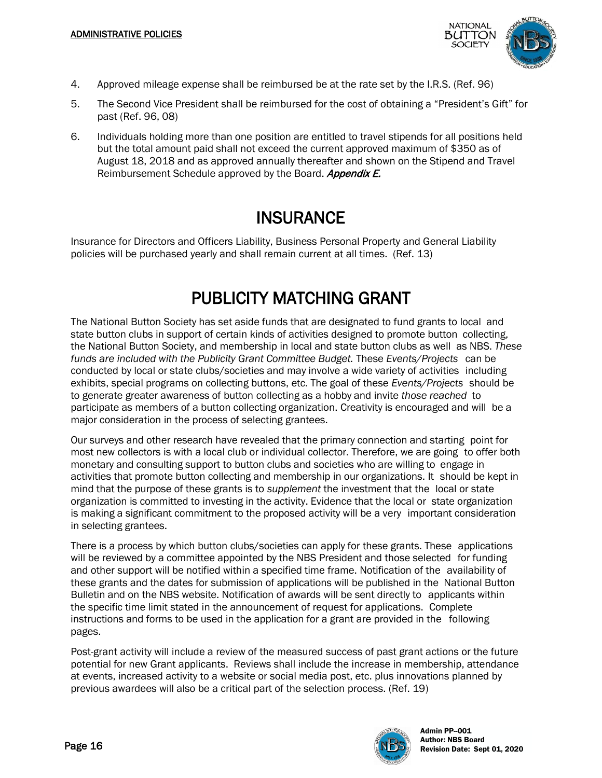

- 4. Approved mileage expense shall be reimbursed be at the rate set by the I.R.S. (Ref. 96)
- 5. The Second Vice President shall be reimbursed for the cost of obtaining a "President's Gift" for past (Ref. 96, 08)
- 6. Individuals holding more than one position are entitled to travel stipends for all positions held but the total amount paid shall not exceed the current approved maximum of \$350 as of August 18, 2018 and as approved annually thereafter and shown on the Stipend and Travel Reimbursement Schedule approved by the Board. Appendix E.

#### **INSURANCE**

Insurance for Directors and Officers Liability, Business Personal Property and General Liability policies will be purchased yearly and shall remain current at all times. (Ref. 13)

#### PUBLICITY MATCHING GRANT

The National Button Society has set aside funds that are designated to fund grants to local and state button clubs in support of certain kinds of activities designed to promote button collecting, the National Button Society, and membership in local and state button clubs as well as NBS. *These funds are included with the Publicity Grant Committee Budget.* These *Events/Projects* can be conducted by local or state clubs/societies and may involve a wide variety of activities including exhibits, special programs on collecting buttons, etc. The goal of these *Events/Projects* should be to generate greater awareness of button collecting as a hobby and invite *those reached* to participate as members of a button collecting organization. Creativity is encouraged and will be a major consideration in the process of selecting grantees.

Our surveys and other research have revealed that the primary connection and starting point for most new collectors is with a local club or individual collector. Therefore, we are going to offer both monetary and consulting support to button clubs and societies who are willing to engage in activities that promote button collecting and membership in our organizations. It should be kept in mind that the purpose of these grants is to *supplement* the investment that the local or state organization is committed to investing in the activity. Evidence that the local or state organization is making a significant commitment to the proposed activity will be a very important consideration in selecting grantees.

There is a process by which button clubs/societies can apply for these grants. These applications will be reviewed by a committee appointed by the NBS President and those selected for funding and other support will be notified within a specified time frame. Notification of the availability of these grants and the dates for submission of applications will be published in the National Button Bulletin and on the NBS website. Notification of awards will be sent directly to applicants within the specific time limit stated in the announcement of request for applications. Complete instructions and forms to be used in the application for a grant are provided in the following pages.

Post-grant activity will include a review of the measured success of past grant actions or the future potential for new Grant applicants. Reviews shall include the increase in membership, attendance at events, increased activity to a website or social media post, etc. plus innovations planned by previous awardees will also be a critical part of the selection process. (Ref. 19)

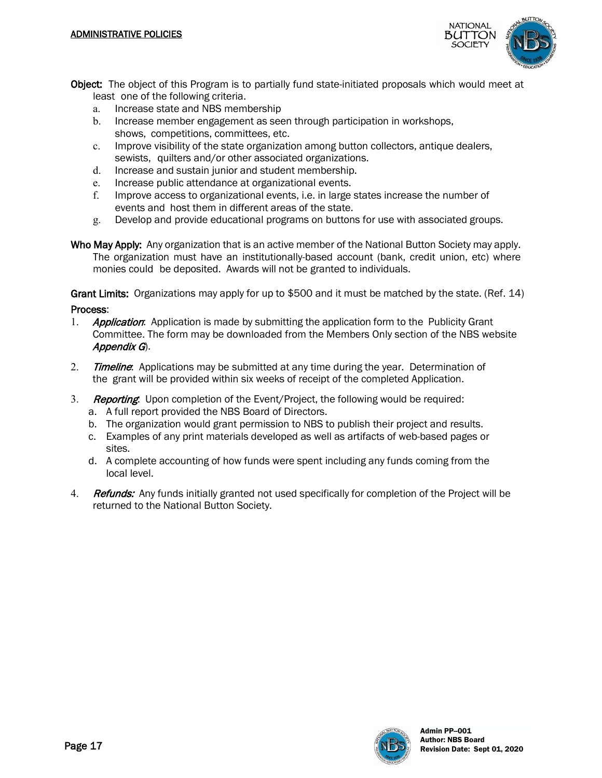

- Object: The object of this Program is to partially fund state-initiated proposals which would meet at least one of the following criteria.
	- a. Increase state and NBS membership
	- b. Increase member engagement as seen through participation in workshops, shows, competitions, committees, etc.
	- c. Improve visibility of the state organization among button collectors, antique dealers, sewists, quilters and/or other associated organizations.
	- d. Increase and sustain junior and student membership.
	- e. Increase public attendance at organizational events.
	- f. Improve access to organizational events, i.e. in large states increase the number of events and host them in different areas of the state.
	- g. Develop and provide educational programs on buttons for use with associated groups.
- Who May Apply: Any organization that is an active member of the National Button Society may apply. The organization must have an institutionally-based account (bank, credit union, etc) where monies could be deposited. Awards will not be granted to individuals.

Grant Limits: Organizations may apply for up to \$500 and it must be matched by the state. (Ref. 14) Process:

- 1. **Application:** Application is made by submitting the application form to the Publicity Grant Committee. The form may be downloaded from the Members Only section of the NBS website Appendix G).
- 2. Timeline: Applications may be submitted at any time during the year. Determination of the grant will be provided within six weeks of receipt of the completed Application.
- 3. Reporting: Upon completion of the Event/Project, the following would be required:
	- a. A full report provided the NBS Board of Directors.
	- b. The organization would grant permission to NBS to publish their project and results.
	- c. Examples of any print materials developed as well as artifacts of web-based pages or sites.
	- d. A complete accounting of how funds were spent including any funds coming from the local level.
- 4. Refunds: Any funds initially granted not used specifically for completion of the Project will be returned to the National Button Society.

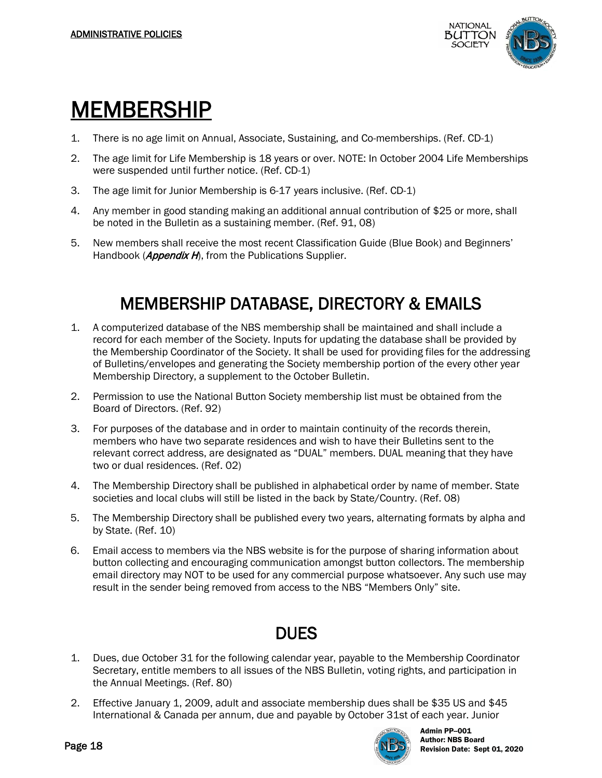

## MEMBERSHIP

- 1. There is no age limit on Annual, Associate, Sustaining, and Co-memberships. (Ref. CD-1)
- 2. The age limit for Life Membership is 18 years or over. NOTE: In October 2004 Life Memberships were suspended until further notice. (Ref. CD-1)
- 3. The age limit for Junior Membership is 6-17 years inclusive. (Ref. CD-1)
- 4. Any member in good standing making an additional annual contribution of \$25 or more, shall be noted in the Bulletin as a sustaining member. (Ref. 91, 08)
- 5. New members shall receive the most recent Classification Guide (Blue Book) and Beginners' Handbook (*Appendix H*), from the Publications Supplier.

#### MEMBERSHIP DATABASE, DIRECTORY & EMAILS

- 1. A computerized database of the NBS membership shall be maintained and shall include a record for each member of the Society. Inputs for updating the database shall be provided by the Membership Coordinator of the Society. It shall be used for providing files for the addressing of Bulletins/envelopes and generating the Society membership portion of the every other year Membership Directory, a supplement to the October Bulletin.
- 2. Permission to use the National Button Society membership list must be obtained from the Board of Directors. (Ref. 92)
- 3. For purposes of the database and in order to maintain continuity of the records therein, members who have two separate residences and wish to have their Bulletins sent to the relevant correct address, are designated as "DUAL" members. DUAL meaning that they have two or dual residences. (Ref. 02)
- 4. The Membership Directory shall be published in alphabetical order by name of member. State societies and local clubs will still be listed in the back by State/Country. (Ref. 08)
- 5. The Membership Directory shall be published every two years, alternating formats by alpha and by State. (Ref. 10)
- 6. Email access to members via the NBS website is for the purpose of sharing information about button collecting and encouraging communication amongst button collectors. The membership email directory may NOT to be used for any commercial purpose whatsoever. Any such use may result in the sender being removed from access to the NBS "Members Only" site.

#### DUES

- 1. Dues, due October 31 for the following calendar year, payable to the Membership Coordinator Secretary, entitle members to all issues of the NBS Bulletin, voting rights, and participation in the Annual Meetings. (Ref. 80)
- 2. Effective January 1, 2009, adult and associate membership dues shall be \$35 US and \$45 International & Canada per annum, due and payable by October 31st of each year. Junior

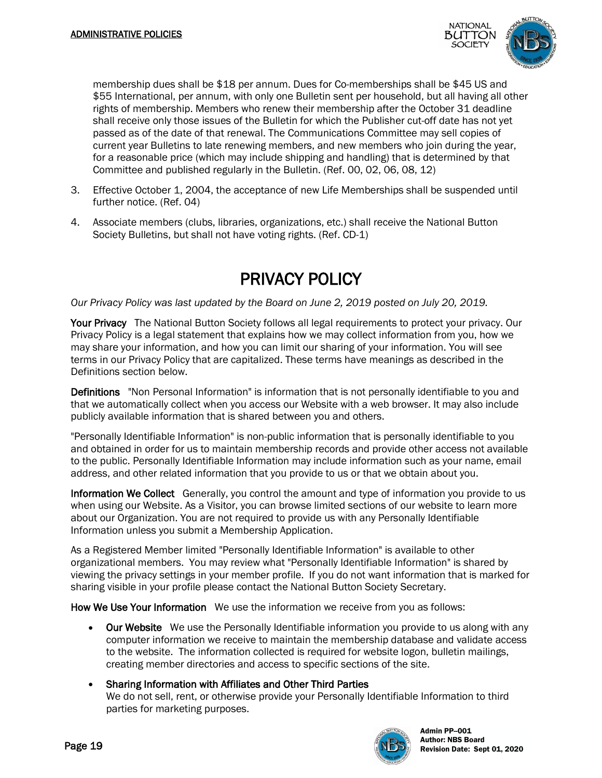

membership dues shall be \$18 per annum. Dues for Co-memberships shall be \$45 US and \$55 International, per annum, with only one Bulletin sent per household, but all having all other rights of membership. Members who renew their membership after the October 31 deadline shall receive only those issues of the Bulletin for which the Publisher cut-off date has not yet passed as of the date of that renewal. The Communications Committee may sell copies of current year Bulletins to late renewing members, and new members who join during the year, for a reasonable price (which may include shipping and handling) that is determined by that Committee and published regularly in the Bulletin. (Ref. 00, 02, 06, 08, 12)

- 3. Effective October 1, 2004, the acceptance of new Life Memberships shall be suspended until further notice. (Ref. 04)
- 4. Associate members (clubs, libraries, organizations, etc.) shall receive the National Button Society Bulletins, but shall not have voting rights. (Ref. CD-1)

#### PRIVACY POLICY

#### *Our Privacy Policy was last updated by the Board on June 2, 2019 posted on July 20, 2019.*

Your Privacy The National Button Society follows all legal requirements to protect your privacy. Our Privacy Policy is a legal statement that explains how we may collect information from you, how we may share your information, and how you can limit our sharing of your information. You will see terms in our Privacy Policy that are capitalized. These terms have meanings as described in the Definitions section below.

Definitions "Non Personal Information" is information that is not personally identifiable to you and that we automatically collect when you access our Website with a web browser. It may also include publicly available information that is shared between you and others.

"Personally Identifiable Information" is non-public information that is personally identifiable to you and obtained in order for us to maintain membership records and provide other access not available to the public. Personally Identifiable Information may include information such as your name, email address, and other related information that you provide to us or that we obtain about you.

Information We Collect Generally, you control the amount and type of information you provide to us when using our Website. As a Visitor, you can browse limited sections of our website to learn more about our Organization. You are not required to provide us with any Personally Identifiable Information unless you submit a Membership Application.

As a Registered Member limited "Personally Identifiable Information" is available to other organizational members. You may review what "Personally Identifiable Information" is shared by viewing the privacy settings in your member profile. If you do not want information that is marked for sharing visible in your profile please contact the National Button Society Secretary.

How We Use Your Information We use the information we receive from you as follows:

- Our Website We use the Personally Identifiable information you provide to us along with any computer information we receive to maintain the membership database and validate access to the website. The information collected is required for website logon, bulletin mailings, creating member directories and access to specific sections of the site.
- Sharing Information with Affiliates and Other Third Parties We do not sell, rent, or otherwise provide your Personally Identifiable Information to third parties for marketing purposes.

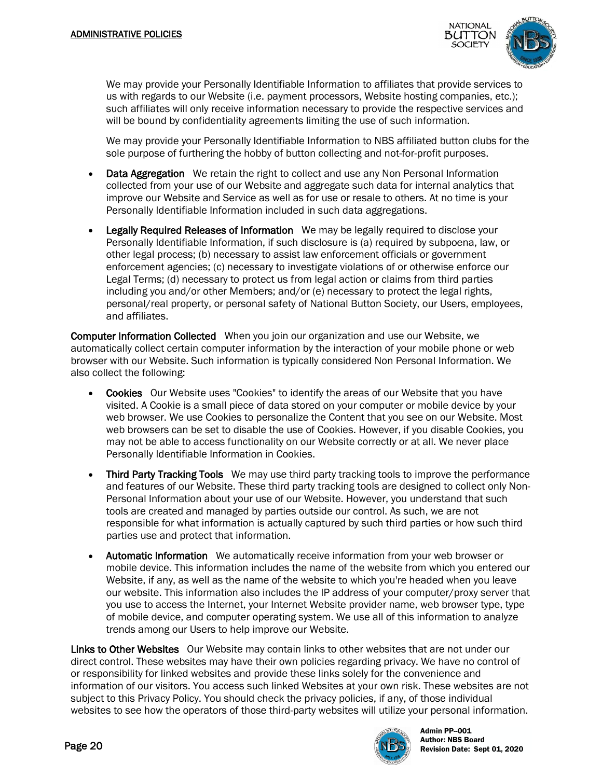

We may provide your Personally Identifiable Information to affiliates that provide services to us with regards to our Website (i.e. payment processors, Website hosting companies, etc.); such affiliates will only receive information necessary to provide the respective services and will be bound by confidentiality agreements limiting the use of such information.

We may provide your Personally Identifiable Information to NBS affiliated button clubs for the sole purpose of furthering the hobby of button collecting and not-for-profit purposes.

- **Data Aggregation** We retain the right to collect and use any Non Personal Information collected from your use of our Website and aggregate such data for internal analytics that improve our Website and Service as well as for use or resale to others. At no time is your Personally Identifiable Information included in such data aggregations.
- **Legally Required Releases of Information** We may be legally required to disclose your Personally Identifiable Information, if such disclosure is (a) required by subpoena, law, or other legal process; (b) necessary to assist law enforcement officials or government enforcement agencies; (c) necessary to investigate violations of or otherwise enforce our Legal Terms; (d) necessary to protect us from legal action or claims from third parties including you and/or other Members; and/or (e) necessary to protect the legal rights, personal/real property, or personal safety of National Button Society, our Users, employees, and affiliates.

Computer Information Collected When you join our organization and use our Website, we automatically collect certain computer information by the interaction of your mobile phone or web browser with our Website. Such information is typically considered Non Personal Information. We also collect the following:

- Cookies Our Website uses "Cookies" to identify the areas of our Website that you have visited. A Cookie is a small piece of data stored on your computer or mobile device by your web browser. We use Cookies to personalize the Content that you see on our Website. Most web browsers can be set to disable the use of Cookies. However, if you disable Cookies, you may not be able to access functionality on our Website correctly or at all. We never place Personally Identifiable Information in Cookies.
- Third Party Tracking Tools We may use third party tracking tools to improve the performance and features of our Website. These third party tracking tools are designed to collect only Non-Personal Information about your use of our Website. However, you understand that such tools are created and managed by parties outside our control. As such, we are not responsible for what information is actually captured by such third parties or how such third parties use and protect that information.
- Automatic Information We automatically receive information from your web browser or mobile device. This information includes the name of the website from which you entered our Website, if any, as well as the name of the website to which you're headed when you leave our website. This information also includes the IP address of your computer/proxy server that you use to access the Internet, your Internet Website provider name, web browser type, type of mobile device, and computer operating system. We use all of this information to analyze trends among our Users to help improve our Website.

Links to Other Websites Our Website may contain links to other websites that are not under our direct control. These websites may have their own policies regarding privacy. We have no control of or responsibility for linked websites and provide these links solely for the convenience and information of our visitors. You access such linked Websites at your own risk. These websites are not subject to this Privacy Policy. You should check the privacy policies, if any, of those individual websites to see how the operators of those third-party websites will utilize your personal information.



Admin PP--001<br>Author: NBS Board Page 20  $\sim$  Revision Date: Sept 01, 2020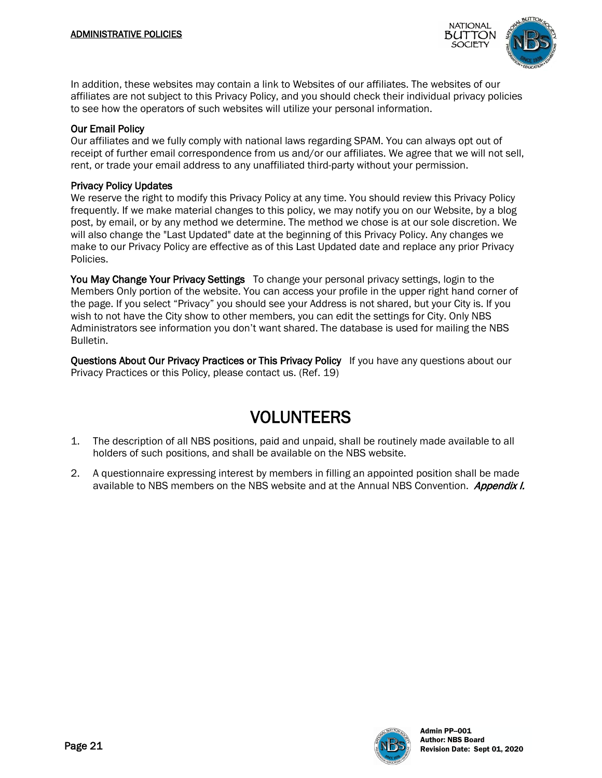

In addition, these websites may contain a link to Websites of our affiliates. The websites of our affiliates are not subject to this Privacy Policy, and you should check their individual privacy policies to see how the operators of such websites will utilize your personal information.

#### Our Email Policy

Our affiliates and we fully comply with national laws regarding SPAM. You can always opt out of receipt of further email correspondence from us and/or our affiliates. We agree that we will not sell, rent, or trade your email address to any unaffiliated third-party without your permission.

#### Privacy Policy Updates

We reserve the right to modify this Privacy Policy at any time. You should review this Privacy Policy frequently. If we make material changes to this policy, we may notify you on our Website, by a blog post, by email, or by any method we determine. The method we chose is at our sole discretion. We will also change the "Last Updated" date at the beginning of this Privacy Policy. Any changes we make to our Privacy Policy are effective as of this Last Updated date and replace any prior Privacy Policies.

You May Change Your Privacy Settings To change your personal privacy settings, login to the Members Only portion of the website. You can access your profile in the upper right hand corner of the page. If you select "Privacy" you should see your Address is not shared, but your City is. If you wish to not have the City show to other members, you can edit the settings for City. Only NBS Administrators see information you don't want shared. The database is used for mailing the NBS Bulletin.

Questions About Our Privacy Practices or This Privacy Policy If you have any questions about our Privacy Practices or this Policy, please contact us. (Ref. 19)

#### VOLUNTEERS

- 1. The description of all NBS positions, paid and unpaid, shall be routinely made available to all holders of such positions, and shall be available on the NBS website.
- 2. A questionnaire expressing interest by members in filling an appointed position shall be made available to NBS members on the NBS website and at the Annual NBS Convention. Appendix I.

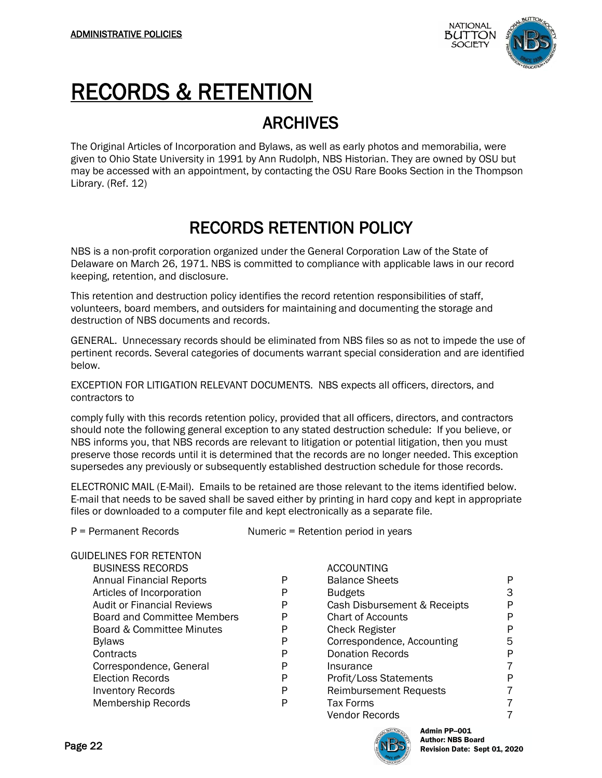

### RECORDS & RETENTION

#### ARCHIVES

The Original Articles of Incorporation and Bylaws, as well as early photos and memorabilia, were given to Ohio State University in 1991 by Ann Rudolph, NBS Historian. They are owned by OSU but may be accessed with an appointment, by contacting the OSU Rare Books Section in the Thompson Library. (Ref. 12)

#### RECORDS RETENTION POLICY

NBS is a non-profit corporation organized under the General Corporation Law of the State of Delaware on March 26, 1971. NBS is committed to compliance with applicable laws in our record keeping, retention, and disclosure.

This retention and destruction policy identifies the record retention responsibilities of staff, volunteers, board members, and outsiders for maintaining and documenting the storage and destruction of NBS documents and records.

GENERAL. Unnecessary records should be eliminated from NBS files so as not to impede the use of pertinent records. Several categories of documents warrant special consideration and are identified below.

EXCEPTION FOR LITIGATION RELEVANT DOCUMENTS. NBS expects all officers, directors, and contractors to

comply fully with this records retention policy, provided that all officers, directors, and contractors should note the following general exception to any stated destruction schedule: If you believe, or NBS informs you, that NBS records are relevant to litigation or potential litigation, then you must preserve those records until it is determined that the records are no longer needed. This exception supersedes any previously or subsequently established destruction schedule for those records.

ELECTRONIC MAIL (E-Mail). Emails to be retained are those relevant to the items identified below. E-mail that needs to be saved shall be saved either by printing in hard copy and kept in appropriate files or downloaded to a computer file and kept electronically as a separate file.

P = Permanent Records Numeric = Retention period in years

| <b>GUIDELINES FOR RETENTON</b>     |   |                     |
|------------------------------------|---|---------------------|
| <b>BUSINESS RECORDS</b>            |   | ACCOUNTING          |
| <b>Annual Financial Reports</b>    | P | <b>Balance Shee</b> |
| Articles of Incorporation          | P | <b>Budgets</b>      |
| <b>Audit or Financial Reviews</b>  | P | <b>Cash Disburs</b> |
| <b>Board and Committee Members</b> | P | Chart of Acco       |
| Board & Committee Minutes          | P | Check Regist        |
| <b>Bylaws</b>                      | P | Corresponder        |
| Contracts                          | P | <b>Donation Rec</b> |
| Correspondence, General            | P | Insurance           |
| <b>Election Records</b>            | P | Profit/Loss St      |
| <b>Inventory Records</b>           | P | Reimburseme         |
| <b>Membership Records</b>          | P | <b>Tax Forms</b>    |
|                                    |   |                     |

| <b>BUSINESS RECORDS</b>            |   | <b>ACCOUNTING</b>             |   |
|------------------------------------|---|-------------------------------|---|
| <b>Annual Financial Reports</b>    | P | <b>Balance Sheets</b>         | P |
| Articles of Incorporation          | P | <b>Budgets</b>                | 3 |
| <b>Audit or Financial Reviews</b>  | P | Cash Disbursement & Receipts  | P |
| <b>Board and Committee Members</b> | P | <b>Chart of Accounts</b>      | P |
| Board & Committee Minutes          | P | <b>Check Register</b>         | P |
| <b>Bylaws</b>                      | P | Correspondence, Accounting    | 5 |
| Contracts                          | P | <b>Donation Records</b>       | P |
| Correspondence, General            | P | Insurance                     | 7 |
| <b>Election Records</b>            | P | Profit/Loss Statements        | P |
| <b>Inventory Records</b>           | P | <b>Reimbursement Requests</b> | 7 |
| Membership Records                 | P | <b>Tax Forms</b>              | 7 |
|                                    |   | <b>Vendor Records</b>         | 7 |
|                                    |   |                               |   |